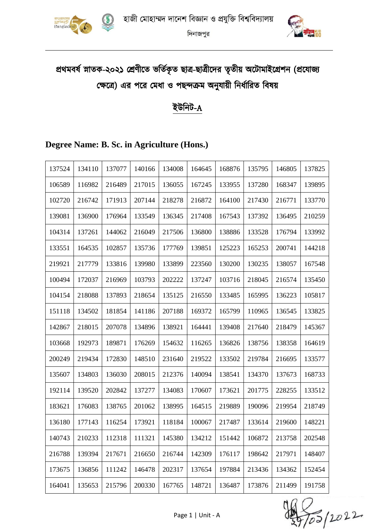



# প্রথমবর্ষ স্নাতক-২০২১ শ্রেণীতে ভর্তিকৃত ছাত্র-ছাত্রীদের তৃতীয় অটোমাইগ্রেশন (প্রযোজ্য ক্ষেত্রে) এর পরে মেধা ও পছন্দক্রম অনুযায়ী নির্ধারিত বিষয়

# ইউনিট-A

# **Degree Name: B. Sc. in Agriculture (Hons.)**

| 137524 | 134110 | 137077 | 140166 | 134008 | 164645 | 168876 | 135795 | 146805 | 137825 |
|--------|--------|--------|--------|--------|--------|--------|--------|--------|--------|
| 106589 | 116982 | 216489 | 217015 | 136055 | 167245 | 133955 | 137280 | 168347 | 139895 |
| 102720 | 216742 | 171913 | 207144 | 218278 | 216872 | 164100 | 217430 | 216771 | 133770 |
| 139081 | 136900 | 176964 | 133549 | 136345 | 217408 | 167543 | 137392 | 136495 | 210259 |
| 104314 | 137261 | 144062 | 216049 | 217506 | 136800 | 138886 | 133528 | 176794 | 133992 |
| 133551 | 164535 | 102857 | 135736 | 177769 | 139851 | 125223 | 165253 | 200741 | 144218 |
| 219921 | 217779 | 133816 | 139980 | 133899 | 223560 | 130200 | 130235 | 138057 | 167548 |
| 100494 | 172037 | 216969 | 103793 | 202222 | 137247 | 103716 | 218045 | 216574 | 135450 |
| 104154 | 218088 | 137893 | 218654 | 135125 | 216550 | 133485 | 165995 | 136223 | 105817 |
| 151118 | 134502 | 181854 | 141186 | 207188 | 169372 | 165799 | 110965 | 136545 | 133825 |
| 142867 | 218015 | 207078 | 134896 | 138921 | 164441 | 139408 | 217640 | 218479 | 145367 |
| 103668 | 192973 | 189871 | 176269 | 154632 | 116265 | 136826 | 138756 | 138358 | 164619 |
| 200249 | 219434 | 172830 | 148510 | 231640 | 219522 | 133502 | 219784 | 216695 | 133577 |
| 135607 | 134803 | 136030 | 208015 | 212376 | 140094 | 138541 | 134370 | 137673 | 168733 |
| 192114 | 139520 | 202842 | 137277 | 134083 | 170607 | 173621 | 201775 | 228255 | 133512 |
| 183621 | 176083 | 138765 | 201062 | 138995 | 164515 | 219889 | 190096 | 219954 | 218749 |
| 136180 | 177143 | 116254 | 173921 | 118184 | 100067 | 217487 | 133614 | 219600 | 148221 |
| 140743 | 210233 | 112318 | 111321 | 145380 | 134212 | 151442 | 106872 | 213758 | 202548 |
| 216788 | 139394 | 217671 | 216650 | 216744 | 142309 | 176117 | 198642 | 217971 | 148407 |
| 173675 | 136856 | 111242 | 146478 | 202317 | 137654 | 197884 | 213436 | 134362 | 152454 |
| 164041 | 135653 | 215796 | 200330 | 167765 | 148721 | 136487 | 173876 | 211499 | 191758 |

)<br>To5 (2022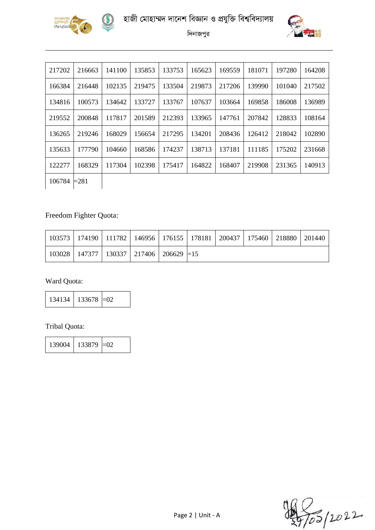





| 217202 | 216663  | 141100 | 135853 | 133753 | 165623 | 169559 | 181071 | 197280 | 164208 |
|--------|---------|--------|--------|--------|--------|--------|--------|--------|--------|
| 166384 | 216448  | 102135 | 219475 | 133504 | 219873 | 217206 | 139990 | 101040 | 217502 |
| 134816 | 100573  | 134642 | 133727 | 133767 | 107637 | 103664 | 169858 | 186008 | 136989 |
| 219552 | 200848  | 117817 | 201589 | 212393 | 133965 | 147761 | 207842 | 128833 | 108164 |
| 136265 | 219246  | 168029 | 156654 | 217295 | 134201 | 208436 | 126412 | 218042 | 102890 |
| 135633 | 177790  | 104660 | 168586 | 174237 | 138713 | 137181 | 111185 | 175202 | 231668 |
| 122277 | 168329  | 117304 | 102398 | 175417 | 164822 | 168407 | 219908 | 231365 | 140913 |
| 106784 | $= 281$ |        |        |        |        |        |        |        |        |

### Freedom Fighter Quota:

|  |                                                          |  | 103573   174190   111782   146956   176155   178181   200437   175460   218880   201440 |  |  |
|--|----------------------------------------------------------|--|-----------------------------------------------------------------------------------------|--|--|
|  | $103028$   147377   130337   217406   206629 $\equiv$ 15 |  |                                                                                         |  |  |

### Ward Quota:

| 134134 | $133678 = 02$ |  |
|--------|---------------|--|
|--------|---------------|--|

#### Tribal Quota:

| 139004 | $133879 = 02$ |  |
|--------|---------------|--|
|        |               |  |

)<br>To5 (2022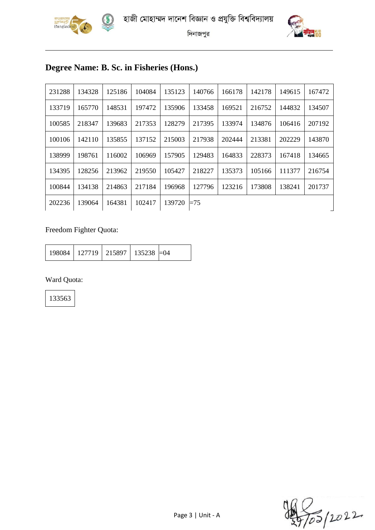





# **Degree Name: B. Sc. in Fisheries (Hons.)**

| 231288 | 134328 | 125186 | 104084 | 135123 | 140766 | 166178 | 142178 | 149615 | 167472 |
|--------|--------|--------|--------|--------|--------|--------|--------|--------|--------|
| 133719 | 165770 | 148531 | 197472 | 135906 | 133458 | 169521 | 216752 | 144832 | 134507 |
| 100585 | 218347 | 139683 | 217353 | 128279 | 217395 | 133974 | 134876 | 106416 | 207192 |
| 100106 | 142110 | 135855 | 137152 | 215003 | 217938 | 202444 | 213381 | 202229 | 143870 |
| 138999 | 198761 | 116002 | 106969 | 157905 | 129483 | 164833 | 228373 | 167418 | 134665 |
| 134395 | 128256 | 213962 | 219550 | 105427 | 218227 | 135373 | 105166 | 111377 | 216754 |
| 100844 | 134138 | 214863 | 217184 | 196968 | 127796 | 123216 | 173808 | 138241 | 201737 |
| 202236 | 139064 | 164381 | 102417 | 139720 | $=75$  |        |        |        |        |

### Freedom Fighter Quota:

| 198084   127719   215897   135238   = 04 |  |  |  |  |
|------------------------------------------|--|--|--|--|
|------------------------------------------|--|--|--|--|

### Ward Quota:

)<br>To5 (2022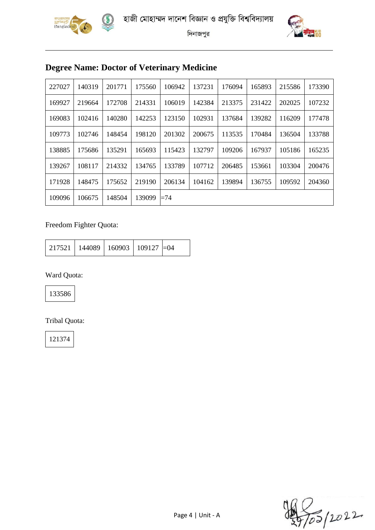

 $\left($ 





দিনাজপুর

# **Degree Name: Doctor of Veterinary Medicine**

| 227027 | 140319 | 201771 | 175560 | 106942 | 137231 | 176094 | 165893 | 215586 | 173390 |
|--------|--------|--------|--------|--------|--------|--------|--------|--------|--------|
| 169927 | 219664 | 172708 | 214331 | 106019 | 142384 | 213375 | 231422 | 202025 | 107232 |
| 169083 | 102416 | 140280 | 142253 | 123150 | 102931 | 137684 | 139282 | 116209 | 177478 |
| 109773 | 102746 | 148454 | 198120 | 201302 | 200675 | 113535 | 170484 | 136504 | 133788 |
| 138885 | 175686 | 135291 | 165693 | 115423 | 132797 | 109206 | 167937 | 105186 | 165235 |
| 139267 | 108117 | 214332 | 134765 | 133789 | 107712 | 206485 | 153661 | 103304 | 200476 |
| 171928 | 148475 | 175652 | 219190 | 206134 | 104162 | 139894 | 136755 | 109592 | 204360 |
| 109096 | 106675 | 148504 | 139099 | $=74$  |        |        |        |        |        |

### Freedom Fighter Quota:

| $\mid$ 217521   144089   160903   109127   $=$ 04 |  |  |  |  |
|---------------------------------------------------|--|--|--|--|
|---------------------------------------------------|--|--|--|--|

Ward Quota:

133586

Tribal Quota:

)<br>To5 (2022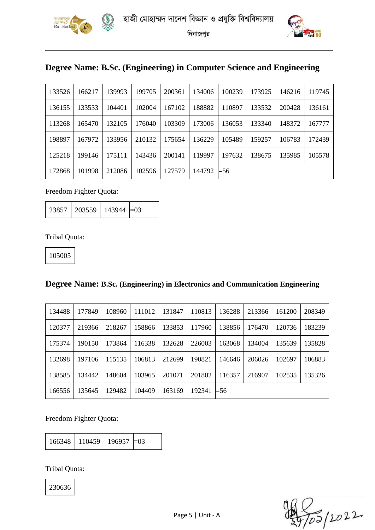



### **Degree Name: B.Sc. (Engineering) in Computer Science and Engineering**

| 133526 | 166217 | 139993 | 199705 | 200361 | 134006 | 100239      | 173925 | 146216 | 119745 |
|--------|--------|--------|--------|--------|--------|-------------|--------|--------|--------|
| 136155 | 133533 | 104401 | 102004 | 167102 | 188882 | 110897      | 133532 | 200428 | 136161 |
| 113268 | 165470 | 132105 | 176040 | 103309 | 173006 | 136053      | 133340 | 148372 | 167777 |
| 198897 | 167972 | 133956 | 210132 | 175654 | 136229 | 105489      | 159257 | 106783 | 172439 |
| 125218 | 199146 | 175111 | 143436 | 200141 | 119997 | 197632      | 138675 | 135985 | 105578 |
| 172868 | 101998 | 212086 | 102596 | 127579 | 144792 | $\equiv 56$ |        |        |        |

Freedom Fighter Quota:

| $23857$   203559   143944 $=$ 03 |  |  |
|----------------------------------|--|--|
|----------------------------------|--|--|

Tribal Quota:

105005

#### **Degree Name: B.Sc. (Engineering) in Electronics and Communication Engineering**

| 134488 | 177849 | 108960 | 111012 | 131847 | 110813 | 136288      | 213366 | 161200 | 208349 |
|--------|--------|--------|--------|--------|--------|-------------|--------|--------|--------|
| 120377 | 219366 | 218267 | 158866 | 133853 | 117960 | 138856      | 176470 | 120736 | 183239 |
| 175374 | 190150 | 173864 | 116338 | 132628 | 226003 | 163068      | 134004 | 135639 | 135828 |
| 132698 | 197106 | 115135 | 106813 | 212699 | 190821 | 146646      | 206026 | 102697 | 106883 |
| 138585 | 134442 | 148604 | 103965 | 201071 | 201802 | 116357      | 216907 | 102535 | 135326 |
| 166556 | 135645 | 129482 | 104409 | 163169 | 192341 | $\equiv 56$ |        |        |        |

Freedom Fighter Quota:

166348 110459 196957 = 03

Tribal Quota:

7<br>105 | 2022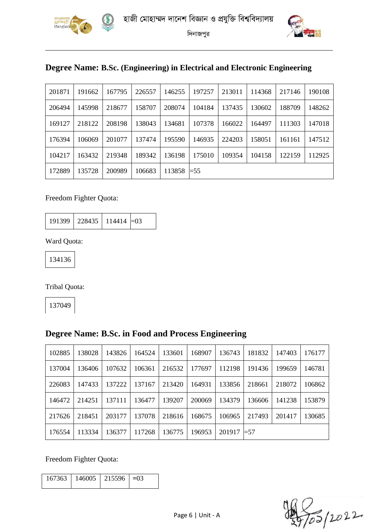



# **Degree Name: B.Sc. (Engineering) in Electrical and Electronic Engineering**

| 201871 | 191662 | 167795 | 226557 | 146255 | 197257      | 213011 | 114368 | 217146 | 190108 |
|--------|--------|--------|--------|--------|-------------|--------|--------|--------|--------|
| 206494 | 145998 | 218677 | 158707 | 208074 | 104184      | 137435 | 130602 | 188709 | 148262 |
| 169127 | 218122 | 208198 | 138043 | 134681 | 107378      | 166022 | 164497 | 111303 | 147018 |
| 176394 | 106069 | 201077 | 137474 | 195590 | 146935      | 224203 | 158051 | 161161 | 147512 |
| 104217 | 163432 | 219348 | 189342 | 136198 | 175010      | 109354 | 104158 | 122159 | 112925 |
| 172889 | 135728 | 200989 | 106683 | 113858 | $\equiv 55$ |        |        |        |        |

### Freedom Fighter Quota:

|  | $191399$   228435   114414 $=$ 03 |  |  |
|--|-----------------------------------|--|--|
|--|-----------------------------------|--|--|

Ward Quota:

Tribal Quota:

### **Degree Name: B.Sc. in Food and Process Engineering**

| 102885 | 138028 | 143826 | 164524 | 133601 | 168907 | 136743 | 181832 | 147403 | 176177 |
|--------|--------|--------|--------|--------|--------|--------|--------|--------|--------|
| 137004 | 136406 | 107632 | 106361 | 216532 | 177697 | 112198 | 191436 | 199659 | 146781 |
| 226083 | 147433 | 137222 | 137167 | 213420 | 164931 | 133856 | 218661 | 218072 | 106862 |
| 146472 | 214251 | 137111 | 136477 | 139207 | 200069 | 134379 | 136606 | 141238 | 153879 |
| 217626 | 218451 | 203177 | 137078 | 218616 | 168675 | 106965 | 217493 | 201417 | 130685 |
| 176554 | 113334 | 136377 | 117268 | 136775 | 196953 | 201917 | $=57$  |        |        |

Freedom Fighter Quota:

| $167363$   146005   215596   $=03$ |  |
|------------------------------------|--|

)<br>To5 | 2022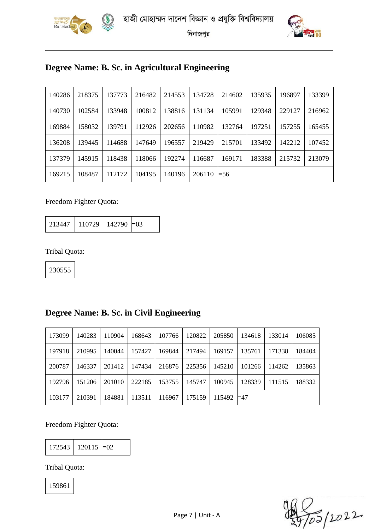



# **Degree Name: B. Sc. in Agricultural Engineering**

| 140286 | 218375 | 137773 | 216482 | 214553 | 134728 | 214602 | 135935 | 196897 | 133399 |  |
|--------|--------|--------|--------|--------|--------|--------|--------|--------|--------|--|
| 140730 | 102584 | 133948 | 100812 | 138816 | 131134 | 105991 | 129348 | 229127 | 216962 |  |
| 169884 | 158032 | 139791 | 112926 | 202656 | 110982 | 132764 | 197251 | 157255 | 165455 |  |
| 136208 | 139445 | 114688 | 147649 | 196557 | 219429 | 215701 | 133492 | 142212 | 107452 |  |
| 137379 | 145915 | 118438 | 118066 | 192274 | 116687 | 169171 | 183388 | 215732 | 213079 |  |
| 169215 | 108487 | 112172 | 104195 | 140196 | 206110 | $=$ 56 |        |        |        |  |

### Freedom Fighter Quota:

| 213447 | 110729   142790 $\approx$ |  |  |
|--------|---------------------------|--|--|
|--------|---------------------------|--|--|

Tribal Quota:

230555

### **Degree Name: B. Sc. in Civil Engineering**

| 173099 | 140283 | 110904 | 168643 | 107766 | 120822 | 205850             | 134618 | 133014 | 106085 |
|--------|--------|--------|--------|--------|--------|--------------------|--------|--------|--------|
| 197918 | 210995 | 140044 | 157427 | 169844 | 217494 | 169157             | 135761 | 171338 | 184404 |
| 200787 | 146337 | 201412 | 147434 | 216876 | 225356 | 145210             | 101266 | 114262 | 135863 |
| 192796 | 151206 | 201010 | 222185 | 153755 | 145747 | 100945             | 128339 | 111515 | 188332 |
| 103177 | 210391 | 184881 | 113511 | 116967 | 175159 | $115492 \equiv 47$ |        |        |        |

#### Freedom Fighter Quota:

 $172543$  120115 = 02

Tribal Quota:

7<br>105 | 2022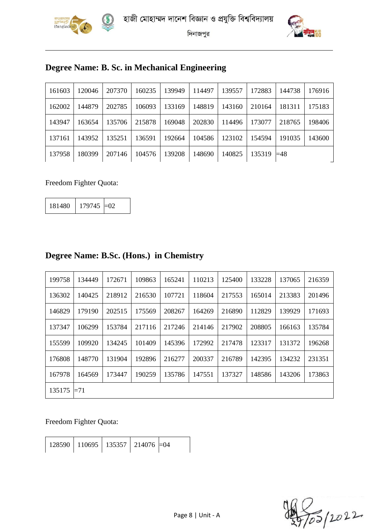



# **Degree Name: B. Sc. in Mechanical Engineering**

| 161603 | 120046 | 207370 | 160235 | 139949 | 114497 | 139557 | 172883        | 144738 | 176916 |
|--------|--------|--------|--------|--------|--------|--------|---------------|--------|--------|
| 162002 | 144879 | 202785 | 106093 | 133169 | 148819 | 143160 | 210164        | 181311 | 175183 |
| 143947 | 163654 | 135706 | 215878 | 169048 | 202830 | 114496 | 173077        | 218765 | 198406 |
| 137161 | 143952 | 135251 | 136591 | 192664 | 104586 | 123102 | 154594        | 191035 | 143600 |
| 137958 | 180399 | 207146 | 104576 | 139208 | 148690 | 140825 | $135319$ = 48 |        |        |

### Freedom Fighter Quota:

| 181480 | $179745 \neq 02$ |  |
|--------|------------------|--|
|--------|------------------|--|

| 199758 | 134449 | 172671 | 109863 | 165241 | 110213 | 125400 | 133228 | 137065 | 216359 |
|--------|--------|--------|--------|--------|--------|--------|--------|--------|--------|
| 136302 | 140425 | 218912 | 216530 | 107721 | 118604 | 217553 | 165014 | 213383 | 201496 |
| 146829 | 179190 | 202515 | 175569 | 208267 | 164269 | 216890 | 112829 | 139929 | 171693 |
| 137347 | 106299 | 153784 | 217116 | 217246 | 214146 | 217902 | 208805 | 166163 | 135784 |
| 155599 | 109920 | 134245 | 101409 | 145396 | 172992 | 217478 | 123317 | 131372 | 196268 |
| 176808 | 148770 | 131904 | 192896 | 216277 | 200337 | 216789 | 142395 | 134232 | 231351 |
| 167978 | 164569 | 173447 | 190259 | 135786 | 147551 | 137327 | 148586 | 143206 | 173863 |
| 135175 | $=71$  |        |        |        |        |        |        |        |        |

# **Degree Name: B.Sc. (Hons.) in Chemistry**

Freedom Fighter Quota:

| $128590$   110695   135357   214076 $\equiv$ 04 |
|-------------------------------------------------|
|-------------------------------------------------|

)<br>To5 (2022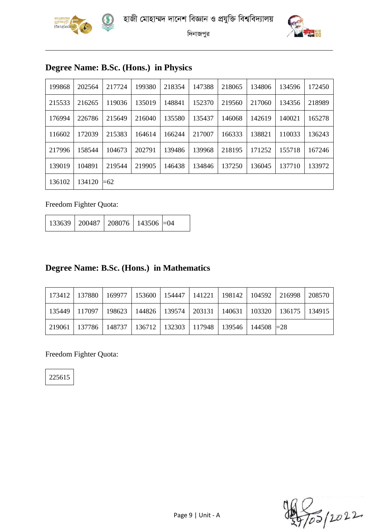





# **Degree Name: B.Sc. (Hons.) in Physics**

| 199868 | 202564 | 217724 | 199380 | 218354 | 147388 | 218065 | 134806 | 134596 | 172450 |
|--------|--------|--------|--------|--------|--------|--------|--------|--------|--------|
| 215533 | 216265 | 119036 | 135019 | 148841 | 152370 | 219560 | 217060 | 134356 | 218989 |
| 176994 | 226786 | 215649 | 216040 | 135580 | 135437 | 146068 | 142619 | 140021 | 165278 |
| 116602 | 172039 | 215383 | 164614 | 166244 | 217007 | 166333 | 138821 | 110033 | 136243 |
| 217996 | 158544 | 104673 | 202791 | 139486 | 139968 | 218195 | 171252 | 155718 | 167246 |
| 139019 | 104891 | 219544 | 219905 | 146438 | 134846 | 137250 | 136045 | 137710 | 133972 |
| 136102 | 134120 | $=62$  |        |        |        |        |        |        |        |

Freedom Fighter Quota:

| 133639   200487   208076   143506   =04 |  |  |
|-----------------------------------------|--|--|
|                                         |  |  |

### **Degree Name: B.Sc. (Hons.) in Mathematics**

|                                                                            |  |  |  | 173412   137880   169977   153600   154447   141221   198142   104592   216998   208570 |  |
|----------------------------------------------------------------------------|--|--|--|-----------------------------------------------------------------------------------------|--|
|                                                                            |  |  |  | 135449   117097   198623   144826   139574   203131   140631   103320   136175   134915 |  |
| 219061   137786   148737   136712   132303   117948   139546   144508  =28 |  |  |  |                                                                                         |  |

Freedom Fighter Quota: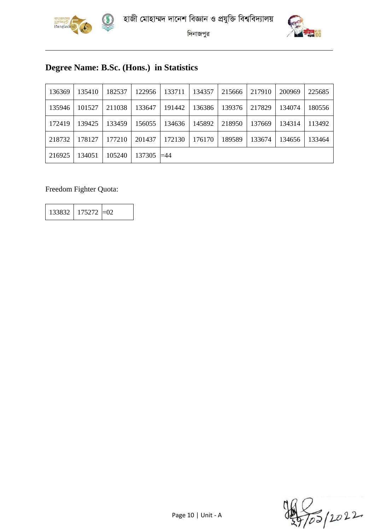



# **Degree Name: B.Sc. (Hons.) in Statistics**

| 136369 | 135410 | 182537 | 122956 | 133711      | 134357 | 215666 | 217910 | 200969 | 225685 |
|--------|--------|--------|--------|-------------|--------|--------|--------|--------|--------|
| 135946 | 101527 | 211038 | 133647 | 191442      | 136386 | 139376 | 217829 | 134074 | 180556 |
| 172419 | 139425 | 133459 | 156055 | 134636      | 145892 | 218950 | 137669 | 134314 | 113492 |
| 218732 | 178127 | 177210 | 201437 | 172130      | 176170 | 189589 | 133674 | 134656 | 133464 |
| 216925 | 134051 | 105240 | 137305 | $\equiv$ 44 |        |        |        |        |        |

#### Freedom Fighter Quota:

133832 175272 =02